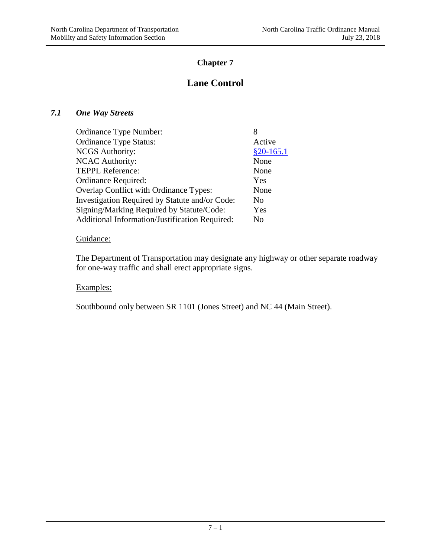# **Chapter 7**

# **Lane Control**

## *7.1 One Way Streets*

| <b>Ordinance Type Number:</b>                  | 8           |
|------------------------------------------------|-------------|
| <b>Ordinance Type Status:</b>                  | Active      |
| <b>NCGS</b> Authority:                         | $$20-165.1$ |
| <b>NCAC Authority:</b>                         | None        |
| <b>TEPPL Reference:</b>                        | None        |
| Ordinance Required:                            | Yes         |
| Overlap Conflict with Ordinance Types:         | None        |
| Investigation Required by Statute and/or Code: | No          |
| Signing/Marking Required by Statute/Code:      | Yes         |
| Additional Information/Justification Required: | No          |

# Guidance:

The Department of Transportation may designate any highway or other separate roadway for one-way traffic and shall erect appropriate signs.

# Examples:

Southbound only between SR 1101 (Jones Street) and NC 44 (Main Street).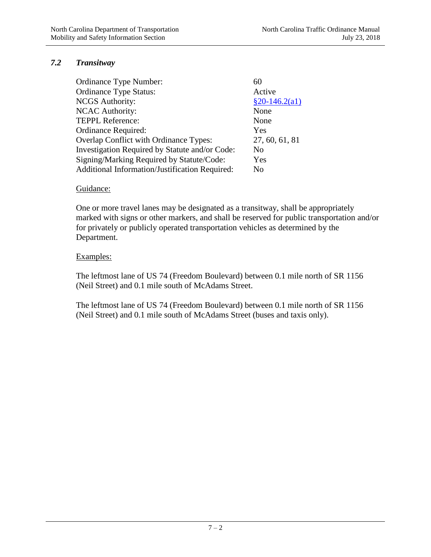# *7.2 Transitway*

| Ordinance Type Number:                         | 60              |
|------------------------------------------------|-----------------|
| <b>Ordinance Type Status:</b>                  | Active          |
| <b>NCGS</b> Authority:                         | $§20-146.2(a1)$ |
| <b>NCAC Authority:</b>                         | None            |
| <b>TEPPL Reference:</b>                        | None            |
| Ordinance Required:                            | Yes             |
| Overlap Conflict with Ordinance Types:         | 27, 60, 61, 81  |
| Investigation Required by Statute and/or Code: | N <sub>0</sub>  |
| Signing/Marking Required by Statute/Code:      | Yes             |
| Additional Information/Justification Required: | No              |
|                                                |                 |

#### Guidance:

One or more travel lanes may be designated as a transitway, shall be appropriately marked with signs or other markers, and shall be reserved for public transportation and/or for privately or publicly operated transportation vehicles as determined by the Department.

#### Examples:

The leftmost lane of US 74 (Freedom Boulevard) between 0.1 mile north of SR 1156 (Neil Street) and 0.1 mile south of McAdams Street.

The leftmost lane of US 74 (Freedom Boulevard) between 0.1 mile north of SR 1156 (Neil Street) and 0.1 mile south of McAdams Street (buses and taxis only).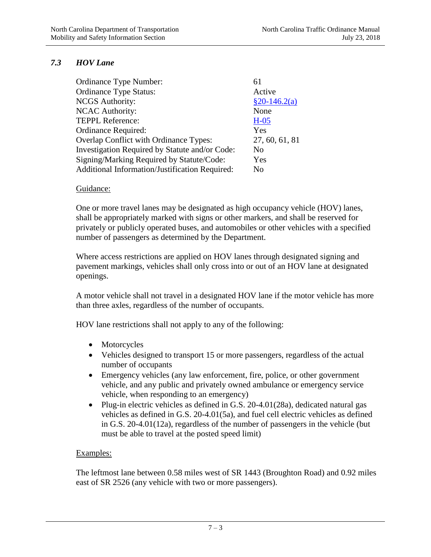# *7.3 HOV Lane*

| Ordinance Type Number:                         | 61             |
|------------------------------------------------|----------------|
| <b>Ordinance Type Status:</b>                  | Active         |
| <b>NCGS</b> Authority:                         | $§20-146.2(a)$ |
| <b>NCAC Authority:</b>                         | None           |
| <b>TEPPL Reference:</b>                        | $H-05$         |
| Ordinance Required:                            | Yes            |
| Overlap Conflict with Ordinance Types:         | 27, 60, 61, 81 |
| Investigation Required by Statute and/or Code: | No             |
| Signing/Marking Required by Statute/Code:      | Yes            |
| Additional Information/Justification Required: | No             |

#### Guidance:

One or more travel lanes may be designated as high occupancy vehicle (HOV) lanes, shall be appropriately marked with signs or other markers, and shall be reserved for privately or publicly operated buses, and automobiles or other vehicles with a specified number of passengers as determined by the Department.

Where access restrictions are applied on HOV lanes through designated signing and pavement markings, vehicles shall only cross into or out of an HOV lane at designated openings.

A motor vehicle shall not travel in a designated HOV lane if the motor vehicle has more than three axles, regardless of the number of occupants.

HOV lane restrictions shall not apply to any of the following:

- Motorcycles
- Vehicles designed to transport 15 or more passengers, regardless of the actual number of occupants
- Emergency vehicles (any law enforcement, fire, police, or other government vehicle, and any public and privately owned ambulance or emergency service vehicle, when responding to an emergency)
- Plug-in electric vehicles as defined in G.S. 20-4.01(28a), dedicated natural gas vehicles as defined in G.S. 20-4.01(5a), and fuel cell electric vehicles as defined in G.S. 20-4.01(12a), regardless of the number of passengers in the vehicle (but must be able to travel at the posted speed limit)

## Examples:

The leftmost lane between 0.58 miles west of SR 1443 (Broughton Road) and 0.92 miles east of SR 2526 (any vehicle with two or more passengers).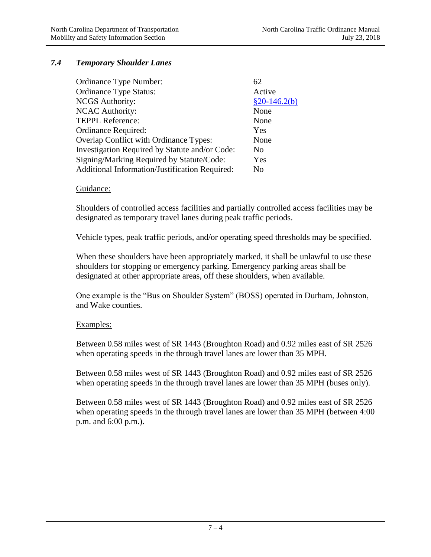# *7.4 Temporary Shoulder Lanes*

| Ordinance Type Number:                         | 62             |
|------------------------------------------------|----------------|
| <b>Ordinance Type Status:</b>                  | Active         |
| <b>NCGS</b> Authority:                         | $§20-146.2(b)$ |
| <b>NCAC Authority:</b>                         | None           |
| <b>TEPPL Reference:</b>                        | None           |
| Ordinance Required:                            | Yes            |
| Overlap Conflict with Ordinance Types:         | None           |
| Investigation Required by Statute and/or Code: | No             |
| Signing/Marking Required by Statute/Code:      | Yes            |
| Additional Information/Justification Required: | No             |

#### Guidance:

Shoulders of controlled access facilities and partially controlled access facilities may be designated as temporary travel lanes during peak traffic periods.

Vehicle types, peak traffic periods, and/or operating speed thresholds may be specified.

When these shoulders have been appropriately marked, it shall be unlawful to use these shoulders for stopping or emergency parking. Emergency parking areas shall be designated at other appropriate areas, off these shoulders, when available.

One example is the "Bus on Shoulder System" (BOSS) operated in Durham, Johnston, and Wake counties.

#### Examples:

Between 0.58 miles west of SR 1443 (Broughton Road) and 0.92 miles east of SR 2526 when operating speeds in the through travel lanes are lower than 35 MPH.

Between 0.58 miles west of SR 1443 (Broughton Road) and 0.92 miles east of SR 2526 when operating speeds in the through travel lanes are lower than 35 MPH (buses only).

Between 0.58 miles west of SR 1443 (Broughton Road) and 0.92 miles east of SR 2526 when operating speeds in the through travel lanes are lower than 35 MPH (between 4:00 p.m. and 6:00 p.m.).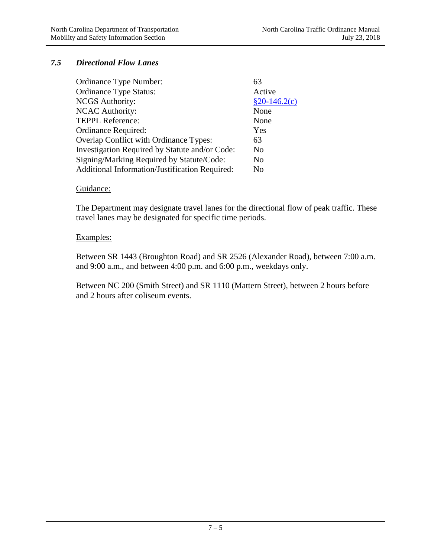# *7.5 Directional Flow Lanes*

| Ordinance Type Number:                         | 63             |
|------------------------------------------------|----------------|
| <b>Ordinance Type Status:</b>                  | Active         |
| <b>NCGS</b> Authority:                         | $§20-146.2(c)$ |
| <b>NCAC</b> Authority:                         | None           |
| <b>TEPPL Reference:</b>                        | None           |
| Ordinance Required:                            | Yes            |
| <b>Overlap Conflict with Ordinance Types:</b>  | 63             |
| Investigation Required by Statute and/or Code: | No             |
| Signing/Marking Required by Statute/Code:      | No             |
| Additional Information/Justification Required: | No             |

#### Guidance:

The Department may designate travel lanes for the directional flow of peak traffic. These travel lanes may be designated for specific time periods.

### Examples:

Between SR 1443 (Broughton Road) and SR 2526 (Alexander Road), between 7:00 a.m. and 9:00 a.m., and between 4:00 p.m. and 6:00 p.m., weekdays only.

Between NC 200 (Smith Street) and SR 1110 (Mattern Street), between 2 hours before and 2 hours after coliseum events.